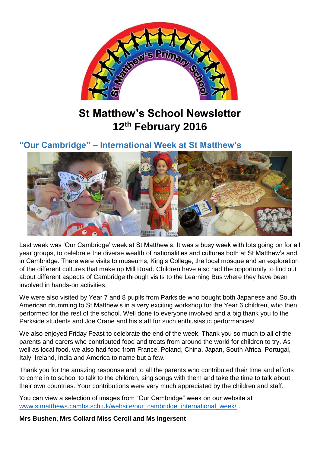

# **St Matthew's School Newsletter 12th February 2016**

# **"Our Cambridge" – International Week at St Matthew's**



Last week was 'Our Cambridge' week at St Matthew's. It was a busy week with lots going on for all year groups, to celebrate the diverse wealth of nationalities and cultures both at St Matthew's and in Cambridge. There were visits to museums, King's College, the local mosque and an exploration of the different cultures that make up Mill Road. Children have also had the opportunity to find out about different aspects of Cambridge through visits to the Learning Bus where they have been involved in hands-on activities.

We were also visited by Year 7 and 8 pupils from Parkside who bought both Japanese and South American drumming to St Matthew's in a very exciting workshop for the Year 6 children, who then performed for the rest of the school. Well done to everyone involved and a big thank you to the Parkside students and Joe Crane and his staff for such enthusiastic performances!

We also enjoyed Friday Feast to celebrate the end of the week. Thank you so much to all of the parents and carers who contributed food and treats from around the world for children to try. As well as local food, we also had food from France, Poland, China, Japan, South Africa, Portugal, Italy, Ireland, India and America to name but a few.

Thank you for the amazing response and to all the parents who contributed their time and efforts to come in to school to talk to the children, sing songs with them and take the time to talk about their own countries. Your contributions were very much appreciated by the children and staff.

You can view a selection of images from "Our Cambridge" week on our website at [www.stmatthews.cambs.sch.uk/website/our\\_cambridge\\_international\\_week/](http://www.stmatthews.cambs.sch.uk/website/our_cambridge_international_week/).

**Mrs Bushen, Mrs Collard Miss Cercil and Ms Ingersent**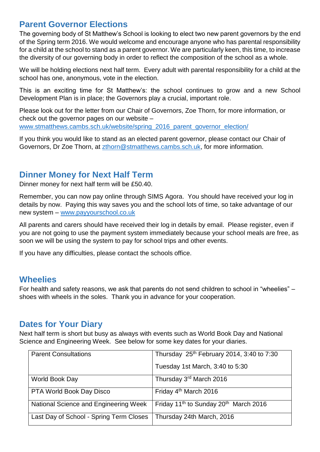### **Parent Governor Elections**

The governing body of St Matthew's School is looking to elect two new parent governors by the end of the Spring term 2016. We would welcome and encourage anyone who has parental responsibility for a child at the school to stand as a parent governor. We are particularly keen, this time, to increase the diversity of our governing body in order to reflect the composition of the school as a whole.

We will be holding elections next half term. Every adult with parental responsibility for a child at the school has one, anonymous, vote in the election.

This is an exciting time for St Matthew's: the school continues to grow and a new School Development Plan is in place; the Governors play a crucial, important role.

Please look out for the letter from our Chair of Governors, Zoe Thorn, for more information, or check out the governor pages on our website – [www.stmatthews.cambs.sch.uk/website/spring\\_2016\\_parent\\_governor\\_election/](http://www.stmatthews.cambs.sch.uk/website/spring_2016_parent_governor_election/)

If you think you would like to stand as an elected parent governor, please contact our Chair of Governors, Dr Zoe Thorn, at [zthorn@stmatthews.cambs.sch.uk,](mailto:zthorn@stmatthews.cambs.sch.uk) for more information.

#### **Dinner Money for Next Half Term**

Dinner money for next half term will be £50.40.

Remember, you can now pay online through SIMS Agora. You should have received your log in details by now. Paying this way saves you and the school lots of time, so take advantage of our new system – [www.payyourschool.co.uk](http://www.payyourschool.co.uk/)

All parents and carers should have received their log in details by email. Please register, even if you are not going to use the payment system immediately because your school meals are free, as soon we will be using the system to pay for school trips and other events.

If you have any difficulties, please contact the schools office.

#### **Wheelies**

For health and safety reasons, we ask that parents do not send children to school in "wheelies" – shoes with wheels in the soles. Thank you in advance for your cooperation.

#### **Dates for Your Diary**

Next half term is short but busy as always with events such as World Book Day and National Science and Engineering Week. See below for some key dates for your diaries.

| <b>Parent Consultations</b>             | Thursday 25 <sup>th</sup> February 2014, 3:40 to 7:30         |
|-----------------------------------------|---------------------------------------------------------------|
|                                         | Tuesday 1st March, 3:40 to 5:30                               |
| World Book Day                          | Thursday 3rd March 2016                                       |
| PTA World Book Day Disco                | Friday 4 <sup>th</sup> March 2016                             |
| National Science and Engineering Week   | Friday 11 <sup>th</sup> to Sunday 20 <sup>th</sup> March 2016 |
| Last Day of School - Spring Term Closes | Thursday 24th March, 2016                                     |